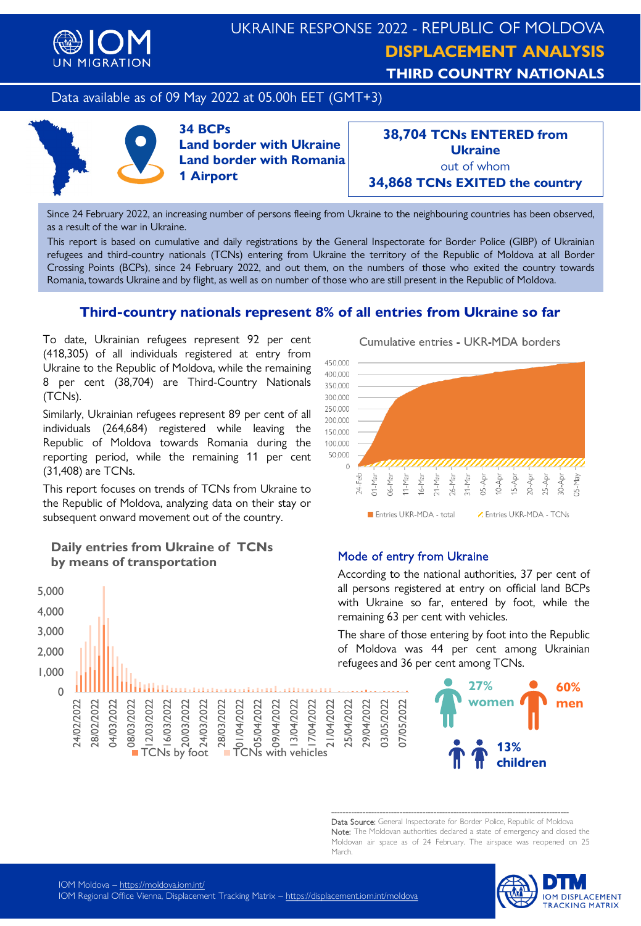

# UKRAINE RESPONSE 2022 - REPUBLIC OF MOLDOVA **DISPLACEMENT ANALYSIS THIRD COUNTRY NATIONALS**

# Data available as of 09 May 2022 at 05.00h EET (GMT+3)



**34 BCPs Land border with Ukraine Land border with Romania 1 Airport**

**38,704 TCNs ENTERED from Ukraine** out of whom **34,868 TCNs EXITED the country**

Since 24 February 2022, an increasing number of persons fleeing from Ukraine to the neighbouring countries has been observed, as a result of the war in Ukraine.

This report is based on cumulative and daily registrations by the General Inspectorate for Border Police (GIBP) of Ukrainian refugees and third-country nationals (TCNs) entering from Ukraine the territory of the Republic of Moldova at all Border Crossing Points (BCPs), since 24 February 2022, and out them, on the numbers of those who exited the country towards Romania, towards Ukraine and by flight, as well as on number of those who are still present in the Republic of Moldova.

# **Third-country nationals represent 8% of all entries from Ukraine so far**

To date, Ukrainian refugees represent 92 per cent (418,305) of all individuals registered at entry from Ukraine to the Republic of Moldova, while the remaining 8 per cent (38,704) are Third-Country Nationals (TCNs).

Similarly, Ukrainian refugees represent 89 per cent of all individuals (264,684) registered while leaving the Republic of Moldova towards Romania during the reporting period, while the remaining 11 per cent (31,408) are TCNs.

This report focuses on trends of TCNs from Ukraine to the Republic of Moldova, analyzing data on their stay or subsequent onward movement out of the country.

## **Daily entries from Ukraine of TCNs by means of transportation**



Cumulative entries - UKR-MDA borders



### Mode of entry from Ukraine

07/05/2022

07/05/2022

According to the national authorities, 37 per cent of all persons registered at entry on official land BCPs with Ukraine so far, entered by foot, while the remaining 63 per cent with vehicles.

The share of those entering by foot into the Republic of Moldova was 44 per cent among Ukrainian refugees and 36 per cent among TCNs.



------------------------------------------------------------------------------------ Data Source: General Inspectorate for Border Police, Republic of Moldova Note: The Moldovan authorities declared a state of emergency and closed the Moldovan air space as of 24 February. The airspace was reopened on 25 March.

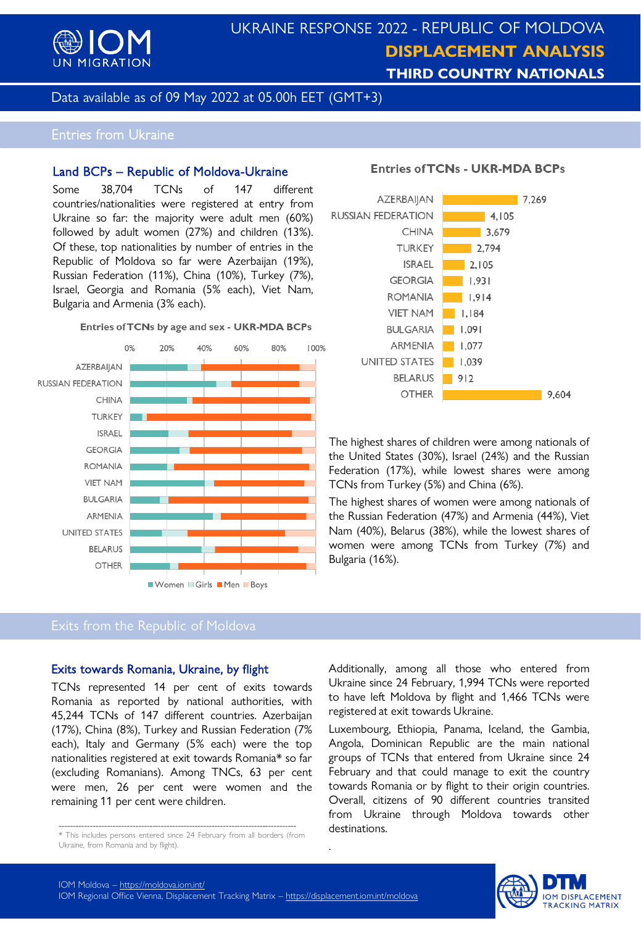

# UKRAINE RESPONSE 2022 - REPUBLIC OF MOLDOVA **DISPLACEMENT ANALYSIS THIRD COUNTRY NATIONALS**

Data available as of 09 May 2022 at 05.00h EET (GMT+3)

# Entries from Ukraine

#### Land BCPs – Republic of Moldova-Ukraine

Some 38,704 TCNs of 147 different countries/nationalities were registered at entry from Ukraine so far: the majority were adult men (60%) followed by adult women (27%) and children (13%). Of these, top nationalities by number of entries in the Republic of Moldova so far were Azerbaijan (19%), Russian Federation (11%), China (10%), Turkey (7%), Israel, Georgia and Romania (5% each), Viet Nam, Bulgaria and Armenia (3% each).

#### Entries of TCNs by age and sex - UKR-MDA BCPs



#### **Entries of TCNs - UKR-MDA BCPs**



The highest shares of children were among nationals of the United States (30%), Israel (24%) and the Russian Federation (17%), while lowest shares were among TCNs from Turkey (5%) and China (6%).

The highest shares of women were among nationals of the Russian Federation (47%) and Armenia (44%), Viet Nam (40%), Belarus (38%), while the lowest shares of women were among TCNs from Turkey (7%) and Bulgaria (16%).

## Exits from the Republic of Moldova

#### Exits towards Romania, Ukraine, by flight

TCNs represented 14 per cent of exits towards Romania as reported by national authorities, with 45,244 TCNs of 147 different countries. Azerbaijan (17%), China (8%), Turkey and Russian Federation (7% each), Italy and Germany (5% each) were the top nationalities registered at exit towards Romania\* so far (excluding Romanians). Among TNCs, 63 per cent were men, 26 per cent were women and the remaining 11 per cent were children.

Additionally, among all those who entered from Ukraine since 24 February, 1,994 TCNs were reported to have left Moldova by flight and 1,466 TCNs were registered at exit towards Ukraine.

Luxembourg, Ethiopia, Panama, Iceland, the Gambia, Angola, Dominican Republic are the main national groups of TCNs that entered from Ukraine since 24 February and that could manage to exit the country towards Romania or by flight to their origin countries. Overall, citizens of 90 different countries transited from Ukraine through Moldova towards other destinations.



.

<sup>------------------------------------------------------------------------------------</sup> \* This includes persons entered since 24 February from all borders (from Ukraine, from Romania and by flight).